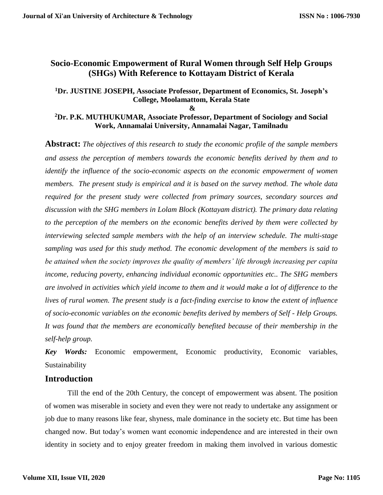# **Socio-Economic Empowerment of Rural Women through Self Help Groups (SHGs) With Reference to Kottayam District of Kerala**

### **<sup>1</sup>Dr. JUSTINE JOSEPH, Associate Professor, Department of Economics, St. Joseph's College, Moolamattom, Kerala State**

**&**

### **<sup>2</sup>Dr. P.K. MUTHUKUMAR, Associate Professor, Department of Sociology and Social Work, Annamalai University, Annamalai Nagar, Tamilnadu**

**Abstract:** *The objectives of this research to study the economic profile of the sample members and assess the perception of members towards the economic benefits derived by them and to identify the influence of the socio-economic aspects on the economic empowerment of women members. The present study is empirical and it is based on the survey method. The whole data required for the present study were collected from primary sources, secondary sources and discussion with the SHG members in Lolam Block (Kottayam district). The primary data relating to the perception of the members on the economic benefits derived by them were collected by interviewing selected sample members with the help of an interview schedule. The multi-stage sampling was used for this study method. The economic development of the members is said to be attained when the society improves the quality of members' life through increasing per capita income, reducing poverty, enhancing individual economic opportunities etc.. The SHG members are involved in activities which yield income to them and it would make a lot of difference to the lives of rural women. The present study is a fact-finding exercise to know the extent of influence of socio-economic variables on the economic benefits derived by members of Self - Help Groups. It was found that the members are economically benefited because of their membership in the self-help group.*

*Key Words:* Economic empowerment, Economic productivity, Economic variables, Sustainability

### **Introduction**

Till the end of the 20th Century, the concept of empowerment was absent. The position of women was miserable in society and even they were not ready to undertake any assignment or job due to many reasons like fear, shyness, male dominance in the society etc. But time has been changed now. But today's women want economic independence and are interested in their own identity in society and to enjoy greater freedom in making them involved in various domestic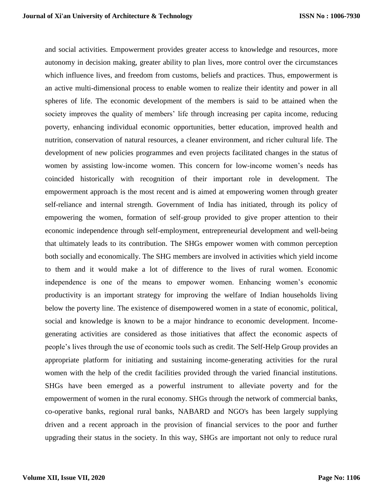and social activities. Empowerment provides greater access to knowledge and resources, more autonomy in decision making, greater ability to plan lives, more control over the circumstances which influence lives, and freedom from customs, beliefs and practices. Thus, empowerment is an active multi-dimensional process to enable women to realize their identity and power in all spheres of life. The economic development of the members is said to be attained when the society improves the quality of members' life through increasing per capita income, reducing poverty, enhancing individual economic opportunities, better education, improved health and nutrition, conservation of natural resources, a cleaner environment, and richer cultural life. The development of new policies programmes and even projects facilitated changes in the status of women by assisting low-income women. This concern for low-income women's needs has coincided historically with recognition of their important role in development. The empowerment approach is the most recent and is aimed at empowering women through greater self-reliance and internal strength. Government of India has initiated, through its policy of empowering the women, formation of self-group provided to give proper attention to their economic independence through self-employment, entrepreneurial development and well-being that ultimately leads to its contribution. The SHGs empower women with common perception both socially and economically. The SHG members are involved in activities which yield income to them and it would make a lot of difference to the lives of rural women. Economic independence is one of the means to empower women. Enhancing women's economic productivity is an important strategy for improving the welfare of Indian households living below the poverty line. The existence of disempowered women in a state of economic, political, social and knowledge is known to be a major hindrance to economic development. Incomegenerating activities are considered as those initiatives that affect the economic aspects of people's lives through the use of economic tools such as credit. The Self-Help Group provides an appropriate platform for initiating and sustaining income-generating activities for the rural women with the help of the credit facilities provided through the varied financial institutions. SHGs have been emerged as a powerful instrument to alleviate poverty and for the empowerment of women in the rural economy. SHGs through the network of commercial banks, co-operative banks, regional rural banks, NABARD and NGO's has been largely supplying driven and a recent approach in the provision of financial services to the poor and further upgrading their status in the society. In this way, SHGs are important not only to reduce rural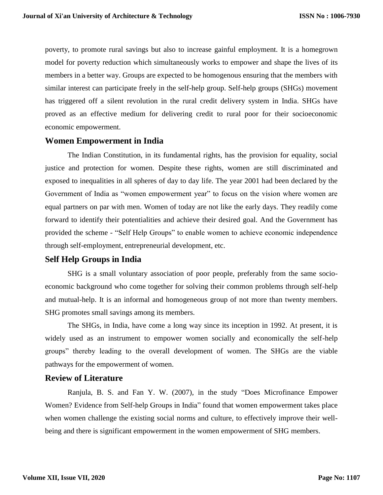poverty, to promote rural savings but also to increase gainful employment. It is a homegrown model for poverty reduction which simultaneously works to empower and shape the lives of its members in a better way. Groups are expected to be homogenous ensuring that the members with similar interest can participate freely in the self-help group. Self-help groups (SHGs) movement has triggered off a silent revolution in the rural credit delivery system in India. SHGs have proved as an effective medium for delivering credit to rural poor for their socioeconomic economic empowerment.

#### **Women Empowerment in India**

The Indian Constitution, in its fundamental rights, has the provision for equality, social justice and protection for women. Despite these rights, women are still discriminated and exposed to inequalities in all spheres of day to day life. The year 2001 had been declared by the Government of India as "women empowerment year" to focus on the vision where women are equal partners on par with men. Women of today are not like the early days. They readily come forward to identify their potentialities and achieve their desired goal. And the Government has provided the scheme - "Self Help Groups" to enable women to achieve economic independence through self-employment, entrepreneurial development, etc.

### **Self Help Groups in India**

SHG is a small voluntary association of poor people, preferably from the same socioeconomic background who come together for solving their common problems through self-help and mutual-help. It is an informal and homogeneous group of not more than twenty members. SHG promotes small savings among its members.

The SHGs, in India, have come a long way since its inception in 1992. At present, it is widely used as an instrument to empower women socially and economically the self-help groups" thereby leading to the overall development of women. The SHGs are the viable pathways for the empowerment of women.

#### **Review of Literature**

Ranjula, B. S. and Fan Y. W. (2007), in the study "Does Microfinance Empower Women? Evidence from Self-help Groups in India" found that women empowerment takes place when women challenge the existing social norms and culture, to effectively improve their wellbeing and there is significant empowerment in the women empowerment of SHG members.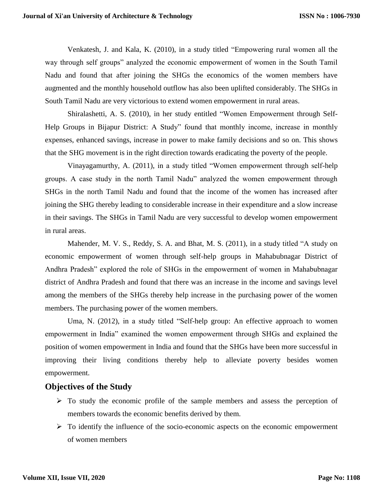Venkatesh, J. and Kala, K. (2010), in a study titled "Empowering rural women all the way through self groups" analyzed the economic empowerment of women in the South Tamil Nadu and found that after joining the SHGs the economics of the women members have augmented and the monthly household outflow has also been uplifted considerably. The SHGs in South Tamil Nadu are very victorious to extend women empowerment in rural areas.

Shiralashetti, A. S. (2010), in her study entitled "Women Empowerment through Self-Help Groups in Bijapur District: A Study" found that monthly income, increase in monthly expenses, enhanced savings, increase in power to make family decisions and so on. This shows that the SHG movement is in the right direction towards eradicating the poverty of the people.

Vinayagamurthy, A. (2011), in a study titled "Women empowerment through self-help groups. A case study in the north Tamil Nadu" analyzed the women empowerment through SHGs in the north Tamil Nadu and found that the income of the women has increased after joining the SHG thereby leading to considerable increase in their expenditure and a slow increase in their savings. The SHGs in Tamil Nadu are very successful to develop women empowerment in rural areas.

Mahender, M. V. S., Reddy, S. A. and Bhat, M. S. (2011), in a study titled "A study on economic empowerment of women through self-help groups in Mahabubnagar District of Andhra Pradesh" explored the role of SHGs in the empowerment of women in Mahabubnagar district of Andhra Pradesh and found that there was an increase in the income and savings level among the members of the SHGs thereby help increase in the purchasing power of the women members. The purchasing power of the women members.

Uma, N. (2012), in a study titled "Self-help group: An effective approach to women empowerment in India" examined the women empowerment through SHGs and explained the position of women empowerment in India and found that the SHGs have been more successful in improving their living conditions thereby help to alleviate poverty besides women empowerment.

#### **Objectives of the Study**

- $\triangleright$  To study the economic profile of the sample members and assess the perception of members towards the economic benefits derived by them.
- $\triangleright$  To identify the influence of the socio-economic aspects on the economic empowerment of women members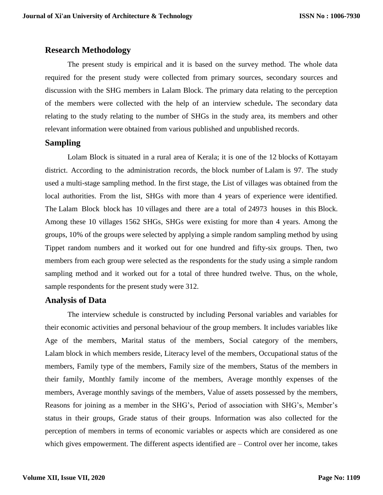### **Research Methodology**

The present study is empirical and it is based on the survey method. The whole data required for the present study were collected from primary sources, secondary sources and discussion with the SHG members in Lalam Block. The primary data relating to the perception of the members were collected with the help of an interview schedule**.** The secondary data relating to the study relating to the number of SHGs in the study area, its members and other relevant information were obtained from various published and unpublished records.

## **Sampling**

Lolam Block is situated in a rural area of Kerala; it is one of the 12 blocks of Kottayam district. According to the administration records, the block number of Lalam is 97. The study used a multi-stage sampling method. In the first stage, the List of villages was obtained from the local authorities. From the list, SHGs with more than 4 years of experience were identified. The Lalam Block block has 10 villages and there are a total of 24973 houses in this Block. Among these 10 villages 1562 SHGs, SHGs were existing for more than 4 years. Among the groups, 10% of the groups were selected by applying a simple random sampling method by using Tippet random numbers and it worked out for one hundred and fifty-six groups. Then, two members from each group were selected as the respondents for the study using a simple random sampling method and it worked out for a total of three hundred twelve. Thus, on the whole, sample respondents for the present study were 312.

# **Analysis of Data**

The interview schedule is constructed by including Personal variables and variables for their economic activities and personal behaviour of the group members. It includes variables like Age of the members, Marital status of the members, Social category of the members, Lalam block in which members reside, Literacy level of the members, Occupational status of the members, Family type of the members, Family size of the members, Status of the members in their family, Monthly family income of the members, Average monthly expenses of the members, Average monthly savings of the members, Value of assets possessed by the members, Reasons for joining as a member in the SHG's, Period of association with SHG's, Member's status in their groups, Grade status of their groups. Information was also collected for the perception of members in terms of economic variables or aspects which are considered as one which gives empowerment. The different aspects identified are – Control over her income, takes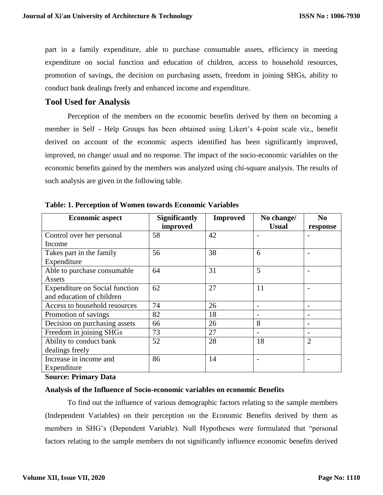part in a family expenditure, able to purchase consumable assets, efficiency in meeting expenditure on social function and education of children, access to household resources, promotion of savings, the decision on purchasing assets, freedom in joining SHGs, ability to conduct bank dealings freely and enhanced income and expenditure.

## **Tool Used for Analysis**

Perception of the members on the economic benefits derived by them on becoming a member in Self - Help Groups has been obtained using Likert's 4-point scale viz., benefit derived on account of the economic aspects identified has been significantly improved, improved, no change/ usual and no response. The impact of the socio-economic variables on the economic benefits gained by the members was analyzed using chi-square analysis. The results of such analysis are given in the following table.

| <b>Economic aspect</b>         | <b>Significantly</b> | <b>Improved</b> | No change/   | N <sub>0</sub>           |
|--------------------------------|----------------------|-----------------|--------------|--------------------------|
|                                | improved             |                 | <b>Usual</b> | response                 |
| Control over her personal      | 58                   | 42              |              |                          |
| Income                         |                      |                 |              |                          |
| Takes part in the family       | 56                   | 38              | 6            | $\overline{a}$           |
| Expenditure                    |                      |                 |              |                          |
| Able to purchase consumable    | 64                   | 31              | 5            |                          |
| Assets                         |                      |                 |              |                          |
| Expenditure on Social function | 62                   | 27              | 11           |                          |
| and education of children      |                      |                 |              |                          |
| Access to household resources  | 74                   | 26              |              |                          |
| Promotion of savings           | 82                   | 18              |              |                          |
| Decision on purchasing assets  | 66                   | 26              | 8            | $\overline{\phantom{0}}$ |
| Freedom in joining SHGs        | 73                   | 27              |              | $\overline{a}$           |
| Ability to conduct bank        | 52                   | 28              | 18           | $\overline{2}$           |
| dealings freely                |                      |                 |              |                          |
| Increase in income and         | 86                   | 14              |              | $\overline{\phantom{0}}$ |
| Expenditure                    |                      |                 |              |                          |

**Table: 1. Perception of Women towards Economic Variables** 

#### **Source: Primary Data**

#### **Analysis of the Influence of Socio-economic variables on economic Benefits**

To find out the influence of various demographic factors relating to the sample members (Independent Variables) on their perception on the Economic Benefits derived by them as members in SHG's (Dependent Variable). Null Hypotheses were formulated that "personal factors relating to the sample members do not significantly influence economic benefits derived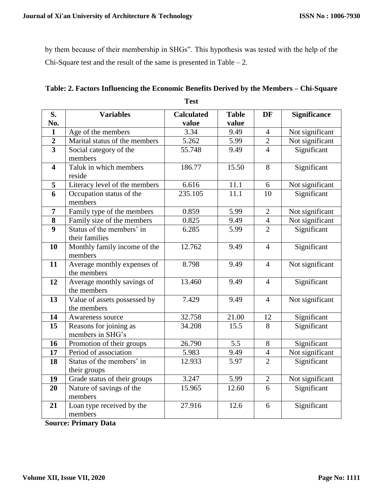by them because of their membership in SHGs". This hypothesis was tested with the help of the Chi-Square test and the result of the same is presented in Table  $-2$ .

| S.                      | <b>Variables</b>              | <b>Calculated</b> | <b>Table</b>     | <b>DF</b>      | <b>Significance</b> |  |
|-------------------------|-------------------------------|-------------------|------------------|----------------|---------------------|--|
| No.                     |                               | value             | value            |                |                     |  |
| $\mathbf{1}$            | Age of the members            | 3.34              | 9.49             | $\overline{4}$ | Not significant     |  |
| $\overline{2}$          | Marital status of the members | 5.262             | 5.99             | $\mathbf{2}$   | Not significant     |  |
| $\overline{\mathbf{3}}$ | Social category of the        | 55.748            | 9.49             | $\overline{4}$ | Significant         |  |
|                         | members                       |                   |                  |                |                     |  |
| $\overline{\mathbf{4}}$ | Taluk in which members        | 186.77            | 15.50            | 8              | Significant         |  |
|                         | reside                        |                   |                  |                |                     |  |
| 5                       | Literacy level of the members | 6.616             | 11.1             | 6              | Not significant     |  |
| $\overline{6}$          | Occupation status of the      | 235.105           | 11.1             | 10             | Significant         |  |
|                         | members                       |                   |                  |                |                     |  |
| $\overline{7}$          | Family type of the members    | 0.859             | 5.99             | $\overline{2}$ | Not significant     |  |
| 8                       | Family size of the members    | 0.825             | 9.49             | $\overline{4}$ | Not significant     |  |
| $\overline{9}$          | Status of the members' in     | 6.285             | 5.99             | $\overline{2}$ | Significant         |  |
|                         | their families                |                   |                  |                |                     |  |
| 10                      | Monthly family income of the  | 12.762            | 9.49             | $\overline{4}$ | Significant         |  |
|                         | members                       |                   |                  |                |                     |  |
| 11                      | Average monthly expenses of   | 8.798             | 9.49             | $\overline{4}$ | Not significant     |  |
|                         | the members                   |                   |                  |                |                     |  |
| 12                      | Average monthly savings of    | 13.460            | 9.49             | $\overline{4}$ | Significant         |  |
|                         | the members                   |                   |                  |                |                     |  |
| 13                      | Value of assets possessed by  | 7.429             | 9.49             | $\overline{4}$ | Not significant     |  |
|                         | the members                   |                   |                  |                |                     |  |
| 14                      | Awareness source              | 32.758            | 21.00            | 12             | Significant         |  |
| $\overline{15}$         | Reasons for joining as        | 34.208            | 15.5             | 8              | Significant         |  |
|                         | members in SHG's              |                   |                  |                |                     |  |
| 16                      | Promotion of their groups     | 26.790            | $\overline{5.5}$ | 8              | Significant         |  |
| 17                      | Period of association         | 5.983             | 9.49             | $\overline{4}$ | Not significant     |  |
| 18                      | Status of the members' in     | 12.933            | 5.97             | $\overline{2}$ | Significant         |  |
|                         | their groups                  |                   |                  |                |                     |  |
| 19                      | Grade status of their groups  | 3.247             | 5.99             | $\mathbf{2}$   | Not significant     |  |
| 20                      | Nature of savings of the      | 15.965            | 12.60            | 6              | Significant         |  |
|                         | members                       |                   |                  |                |                     |  |
| 21                      | Loan type received by the     | 27.916            | 12.6             | 6              | Significant         |  |
|                         | members                       |                   |                  |                |                     |  |

| Table: 2. Factors Influencing the Economic Benefits Derived by the Members – Chi-Square |
|-----------------------------------------------------------------------------------------|
| <b>Test</b>                                                                             |

**Source: Primary Data**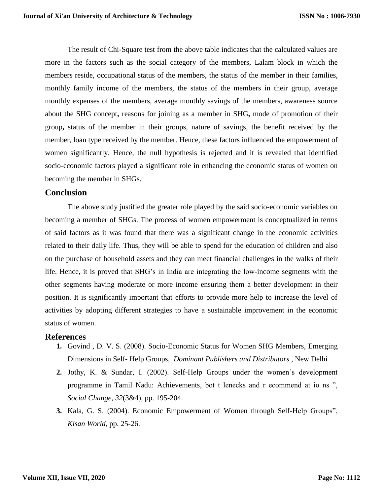The result of Chi-Square test from the above table indicates that the calculated values are more in the factors such as the social category of the members, Lalam block in which the members reside, occupational status of the members, the status of the member in their families, monthly family income of the members, the status of the members in their group, average monthly expenses of the members, average monthly savings of the members, awareness source about the SHG concept**,** reasons for joining as a member in SHG**,** mode of promotion of their group**,** status of the member in their groups, nature of savings, the benefit received by the member, loan type received by the member. Hence, these factors influenced the empowerment of women significantly. Hence, the null hypothesis is rejected and it is revealed that identified socio-economic factors played a significant role in enhancing the economic status of women on becoming the member in SHGs.

#### **Conclusion**

The above study justified the greater role played by the said socio-economic variables on becoming a member of SHGs. The process of women empowerment is conceptualized in terms of said factors as it was found that there was a significant change in the economic activities related to their daily life. Thus, they will be able to spend for the education of children and also on the purchase of household assets and they can meet financial challenges in the walks of their life. Hence, it is proved that SHG's in India are integrating the low-income segments with the other segments having moderate or more income ensuring them a better development in their position. It is significantly important that efforts to provide more help to increase the level of activities by adopting different strategies to have a sustainable improvement in the economic status of women.

#### **References**

- **1.** Govind , D. V. S. (2008). Socio-Economic Status for Women SHG Members, Emerging Dimensions in Self- Help Groups, *Dominant Publishers and Distributors* , New Delhi
- **2.** Jothy, K. & Sundar, I. (2002). Self-Help Groups under the women's development programme in Tamil Nadu: Achievements, bot t lenecks and r ecommend at io ns ", *Social Change*, *32*(3&4), pp. 195-204.
- **3.** Kala, G. S. (2004). Economic Empowerment of Women through Self-Help Groups", *Kisan World*, pp. 25-26.